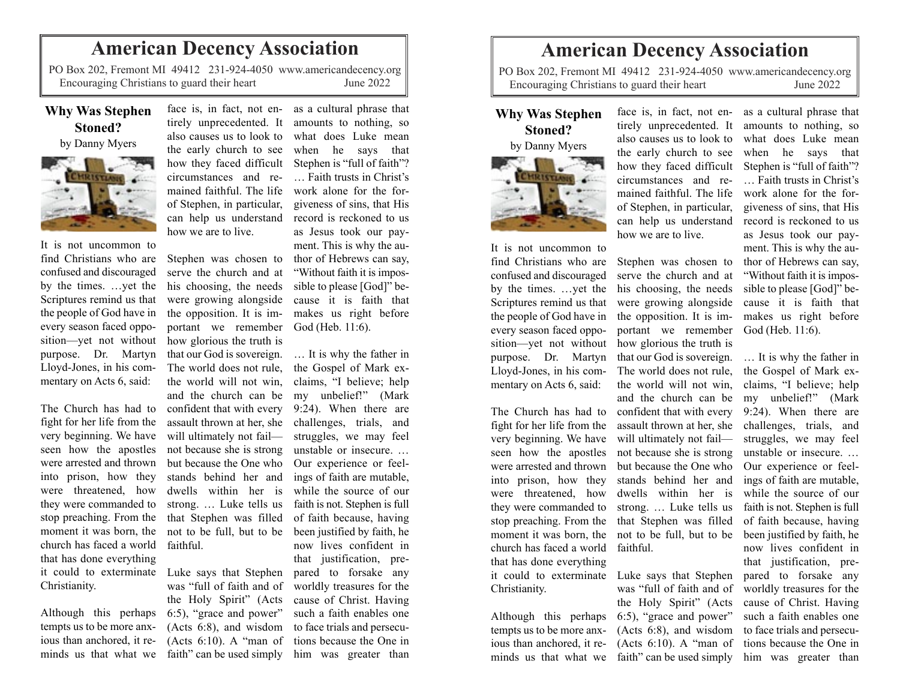## **American Decency Association**

PO Box 202, Fremont MI 49412 231-924-4050 www.americandecency.org Encouraging Christians to guard their heart June 2022

## **Why Was Stephen Stoned?**

by Danny Myers



It is not uncommon to find Christians who are confused and discouraged by the times. …yet the Scriptures remind us that the people of God have in every season faced opposition—yet not without how glorious the truth is purpose. Dr. Martyn Lloyd-Jones, in his commentary on Acts 6, said:

The Church has had to fight for her life from the very beginning. We have seen how the apostles were arrested and thrown into prison, how they were threatened, how they were commanded to stop preaching. From the moment it was born, the church has faced a world that has done everything it could to exterminate Luke says that Stephen Christianity.

Although this perhaps tempts us to be more anxious than anchored, it reminds us that what we faith" can be used simply

tirely unprecedented. It also causes us to look to the early church to see how they faced difficult circumstances and remained faithful. The life of Stephen, in particular, can help us understand how we are to live.

Stephen was chosen to serve the church and at his choosing, the needs were growing alongside the opposition. It is important we remember God (Heb. 11:6). that our God is sovereign. The world does not rule, the world will not win, and the church can be confident that with every assault thrown at her, she will ultimately not fail not because she is strong but because the One who stands behind her and dwells within her is strong. … Luke tells us that Stephen was filled not to be full, but to be faithful.

was "full of faith and of the Holy Spirit" (Acts 6:5), "grace and power" (Acts 6:10). A "man of

face is, in fact, not en-as a cultural phrase that amounts to nothing, so what does Luke mean when he says that Stephen is "full of faith"? … Faith trusts in Christ's work alone for the forgiveness of sins, that His record is reckoned to us as Jesus took our payment. This is why the author of Hebrews can say, "Without faith it is impossible to please [God]" because it is faith that makes us right before

(Acts 6:8), and wisdom to face trials and persecu-… It is why the father in the Gospel of Mark exclaims, "I believe; help my unbelief!" (Mark 9:24). When there are challenges, trials, and struggles, we may feel unstable or insecure. … Our experience or feelings of faith are mutable, while the source of our faith is not. Stephen is full of faith because, having been justified by faith, he now lives confident in that justification, prepared to forsake any worldly treasures for the cause of Christ. Having such a faith enables one tions because the One in him was greater than

## **American Decency Association**

PO Box 202, Fremont MI 49412 231-924-4050 www.americandecency.org Encouraging Christians to guard their heart June 2022

## **Why Was Stephen Stoned?** by Danny Myers





It is not uncommon to find Christians who are Stephen was chosen to confused and discouraged every season faced oppo-Lloyd-Jones, in his commentary on Acts 6, said:

fight for her life from the church has faced a world faithful. that has done everything it could to exterminate Luke says that Stephen Christianity.

tempts us to be more anx-

also causes us to look to the early church to see how they faced difficult circumstances and remained faithful. The life of Stephen, in particular, can help us understand how we are to live.

by the times. …yet the his choosing, the needs Scriptures remind us that were growing alongside the people of God have in the opposition. It is imsition—yet not without how glorious the truth is purpose. Dr. Martyn that our God is sovereign. The Church has had to confident that with every very beginning. We have will ultimately not fail seen how the apostles not because she is strong were arrested and thrown but because the One who into prison, how they stands behind her and were threatened, how dwells within her is they were commanded to strong. … Luke tells us stop preaching. From the that Stephen was filled moment it was born, the not to be full, but to be serve the church and at portant we remember The world does not rule, the world will not win, and the church can be assault thrown at her, she

Although this perhaps 6:5), "grace and power" ious than anchored, it re-(Acts 6:10). A "man of minds us that what we faith" can be used simply him was greater than was "full of faith and of the Holy Spirit" (Acts (Acts 6:8), and wisdom

face is, in fact, not en-as a cultural phrase that tirely unprecedented. It amounts to nothing, so what does Luke mean when he says that Stephen is "full of faith"? … Faith trusts in Christ's work alone for the forgiveness of sins, that His record is reckoned to us as Jesus took our payment. This is why the author of Hebrews can say, "Without faith it is impossible to please [God]" because it is faith that makes us right before God (Heb. 11:6).

> … It is why the father in the Gospel of Mark exclaims, "I believe; help my unbelief!" (Mark 9:24). When there are challenges, trials, and struggles, we may feel unstable or insecure. … Our experience or feelings of faith are mutable, while the source of our faith is not. Stephen is full of faith because, having been justified by faith, he now lives confident in that justification, prepared to forsake any worldly treasures for the cause of Christ. Having such a faith enables one to face trials and persecutions because the One in